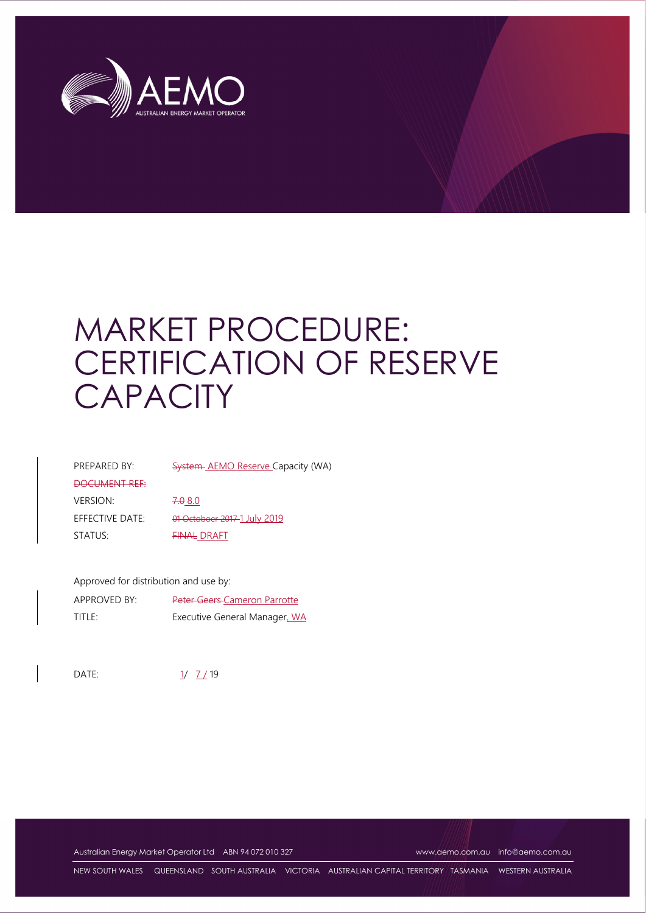

# MARKET PROCEDURE: CERTIFICATION OF RESERVE **CAPACITY**

| <b>System-AEMO Reserve Capacity (WA)</b> |
|------------------------------------------|
|                                          |
| 7.080                                    |
| 01 Octoboer 2017-1 July 2019             |
| <b>FINAL DRAFT</b>                       |
|                                          |

Approved for distribution and use by:

| APPROVED BY: | <b>Peter Geers-Cameron Parrotte</b> |
|--------------|-------------------------------------|
| title:       | Executive General Manager, WA       |

DATE:  $\frac{1}{2}$  19

Australian Energy Market Operator Ltd ABN 94 072 010 327 www.aemo.com.au info@aemo.com.au

NEW SOUTH WALES QUEENSLAND SOUTH AUSTRALIA VICTORIA AUSTRALIAN CAPITAL TERRITORY TASMANIA WESTERN AUSTRALIA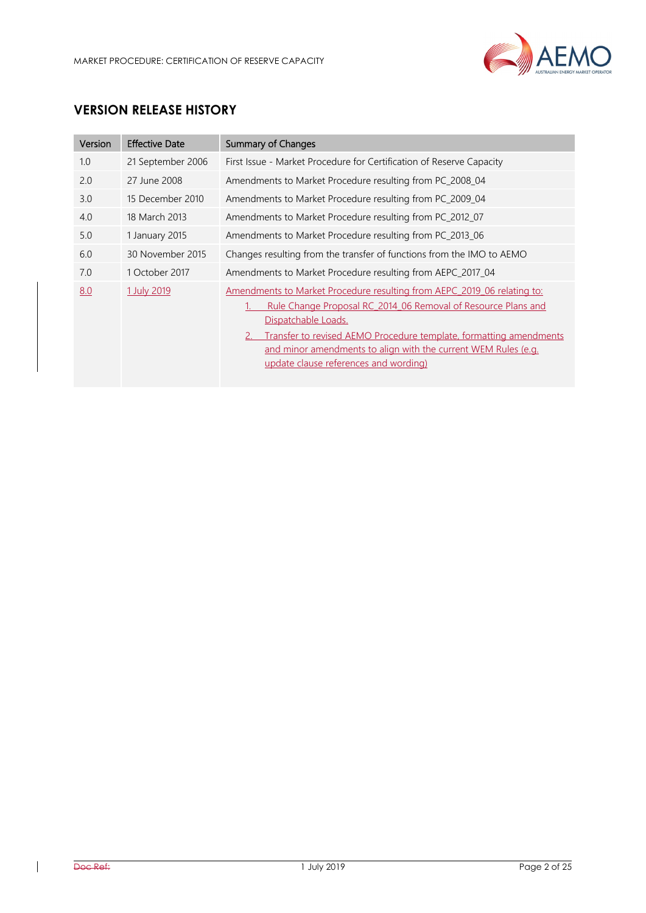

# **VERSION RELEASE HISTORY**

| Version | <b>Effective Date</b> | <b>Summary of Changes</b>                                                                                                                                                                                                                                                                                                                        |
|---------|-----------------------|--------------------------------------------------------------------------------------------------------------------------------------------------------------------------------------------------------------------------------------------------------------------------------------------------------------------------------------------------|
| 1.0     | 21 September 2006     | First Issue - Market Procedure for Certification of Reserve Capacity                                                                                                                                                                                                                                                                             |
| 2.0     | 27 June 2008          | Amendments to Market Procedure resulting from PC_2008_04                                                                                                                                                                                                                                                                                         |
| 3.0     | 15 December 2010      | Amendments to Market Procedure resulting from PC_2009_04                                                                                                                                                                                                                                                                                         |
| 4.0     | 18 March 2013         | Amendments to Market Procedure resulting from PC_2012_07                                                                                                                                                                                                                                                                                         |
| 5.0     | 1 January 2015        | Amendments to Market Procedure resulting from PC_2013_06                                                                                                                                                                                                                                                                                         |
| 6.0     | 30 November 2015      | Changes resulting from the transfer of functions from the IMO to AEMO                                                                                                                                                                                                                                                                            |
| 7.0     | 1 October 2017        | Amendments to Market Procedure resulting from AEPC_2017_04                                                                                                                                                                                                                                                                                       |
| 8.0     | 1 July 2019           | Amendments to Market Procedure resulting from AEPC 2019 06 relating to:<br>Rule Change Proposal RC 2014 06 Removal of Resource Plans and<br>Dispatchable Loads.<br>Transfer to revised AEMO Procedure template, formatting amendments<br>and minor amendments to align with the current WEM Rules (e.g.<br>update clause references and wording) |

 $\overline{\phantom{a}}$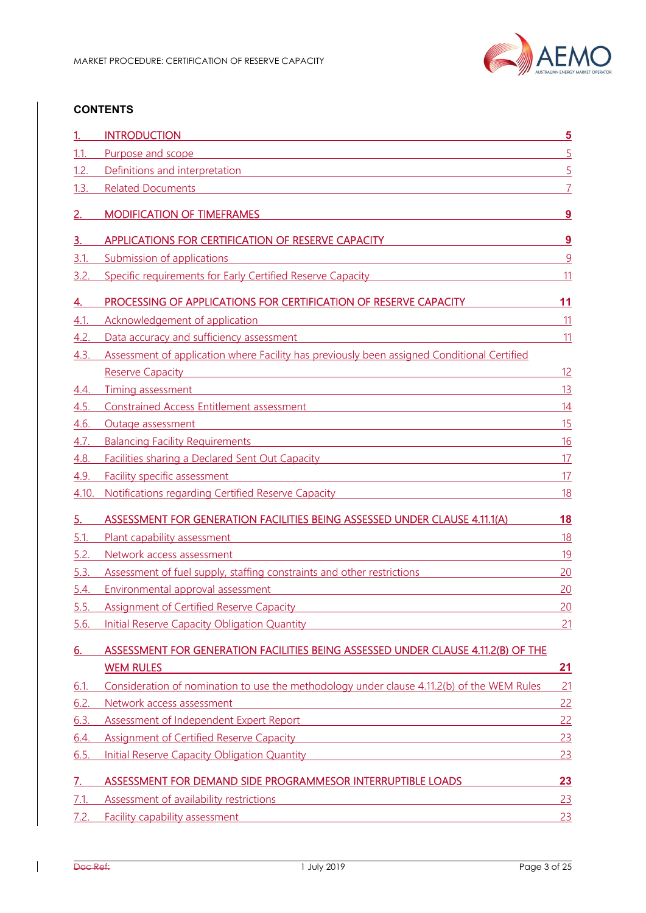

#### **CONTENTS**

|           | <b>INTRODUCTION</b>                                                                                                                                                                                                                  | $\overline{5}$ |
|-----------|--------------------------------------------------------------------------------------------------------------------------------------------------------------------------------------------------------------------------------------|----------------|
| 1.1.      | Purpose and scope<br><u> 1989 - Johann Stoff, amerikansk politiker (d. 1989)</u>                                                                                                                                                     | $\overline{5}$ |
| 1.2.      | Definitions and interpretation entitled and interpretation                                                                                                                                                                           | $\overline{5}$ |
| 1.3.      | <b>Related Documents</b><br><u> 1980 - Jan Samuel Barbara, martin di</u>                                                                                                                                                             |                |
| 2.        | <b>MODIFICATION OF TIMEFRAMES</b>                                                                                                                                                                                                    | 9              |
| з.        | APPLICATIONS FOR CERTIFICATION OF RESERVE CAPACITY                                                                                                                                                                                   | <u>9</u>       |
| 3.1.      | Submission of applications                                                                                                                                                                                                           | 9              |
| 3.2       | Specific requirements for Early Certified Reserve Capacity                                                                                                                                                                           | 11             |
| 4.        | PROCESSING OF APPLICATIONS FOR CERTIFICATION OF RESERVE CAPACITY                                                                                                                                                                     | 11             |
| 4.1       | Acknowledgement of application                                                                                                                                                                                                       | 11             |
| 4.2       | Data accuracy and sufficiency assessment                                                                                                                                                                                             | 11             |
| 4.3.      | Assessment of application where Facility has previously been assigned Conditional Certified                                                                                                                                          |                |
|           | Reserve Capacity <b>Example 2018</b> Reserve Capacity                                                                                                                                                                                | 12             |
| 4.4.      | Timing assessment<br><u> 1980 - Jan Samuel Barbara, martin din shekara ta 1980 - An tsara tsara tsara tsara tsara tsara tsara tsara ts</u>                                                                                           | 13             |
| 4.5.      | Constrained Access Entitlement assessment and all and all and all and all and all and all and all and all and a                                                                                                                      | 14             |
| 4.6.      | Outage assessment<br><u> 1980 - Johann Barn, mars ann an t-Amhain Aonaich an t-Aonaich an t-Aonaich ann an t-Aonaich ann an t-Aonaich</u>                                                                                            | 15             |
| 4.7.      | Balancing Facility Requirements <b>Container and Container and Container and Container and Container and Container</b>                                                                                                               | 16             |
| 4.8.      | Facilities sharing a Declared Sent Out Capacity <b>Starting Contract Control Contract Contract Control Control Control Control Control Control Control Control Control Control Control Control Control Control Control Control C</b> | 17             |
| 4.9.      | Facility specific assessment and the control of the control of the control of the control of the control of the control of the control of the control of the control of the control of the control of the control of the contr       | 17             |
| 4.10.     | Notifications regarding Certified Reserve Capacity Material Community Control of the Material Community Control of the United States of the United States of the United States of the United States of the United States of th       | <u>18</u>      |
|           |                                                                                                                                                                                                                                      |                |
| <u>5.</u> | ASSESSMENT FOR GENERATION FACILITIES BEING ASSESSED UNDER CLAUSE 4.11.1(A)                                                                                                                                                           | <u>18</u>      |
| 5.1       | <u> 1989 - Johann Barbara, martxa alemaniar amerikan a</u><br>Plant capability assessment                                                                                                                                            | <u>18</u>      |
| 5.2.      | Network access assessment<br><u> 1989 - Johann Stein, mars an deus Amerikaansk kommunister (</u>                                                                                                                                     | <u>19</u>      |
| 5.3.      | Assessment of fuel supply, staffing constraints and other restrictions                                                                                                                                                               | 20             |
| 5.4.      | Environmental approval assessment<br><u> 1980 - Jan Sterling von Berling von Berling von Berling von Berling von Berling von Berling von Berling von B</u>                                                                           | 20             |
| 5.5.      | <b>Assignment of Certified Reserve Capacity</b><br><u> 1989 - Johann Barn, fransk politik (d. 1989)</u>                                                                                                                              | 20             |
| 5.6.      | <b>Initial Reserve Capacity Obligation Quantity</b>                                                                                                                                                                                  | 21             |
| 6.        | ASSESSMENT FOR GENERATION FACILITIES BEING ASSESSED UNDER CLAUSE 4.11.2(B) OF THE                                                                                                                                                    |                |
|           | <b>WEM RULES</b>                                                                                                                                                                                                                     | <u>21</u>      |
| 6.1.      | Consideration of nomination to use the methodology under clause 4.11.2(b) of the WEM Rules                                                                                                                                           | 21             |
| 6.2.      | Network access assessment                                                                                                                                                                                                            | 22             |
| 6.3.      | <u> 1989 - Johann Barn, mars ann an t-Amhain Aonaichte ann an t-Aonaichte ann an t-Aonaichte ann an t-Aonaichte a</u><br>Assessment of Independent Expert Report <b>Assessment of Independent Expert</b> Report                      | 22             |
| 6.4.      | Assignment of Certified Reserve Capacity Management of Certified Reserve Capacity                                                                                                                                                    | 23             |
| 6.5.      | <b>Initial Reserve Capacity Obligation Quantity Example 2018</b>                                                                                                                                                                     | 23             |
| 7.        | ASSESSMENT FOR DEMAND SIDE PROGRAMMESOR INTERRUPTIBLE LOADS                                                                                                                                                                          | <u>23</u>      |
| 7.1       | Assessment of availability restrictions<br><u> 1989 - Johann Stein, marwolaethau (b. 1989)</u>                                                                                                                                       | 23             |
| 7.2.      | <b>Facility capability assessment <i>CONTENTING</i> <b><i>CONTENTING CONTENTING CONTENTING CONTENTING</i> <b><i>CONTENTING</i></b></b></b>                                                                                           | 23             |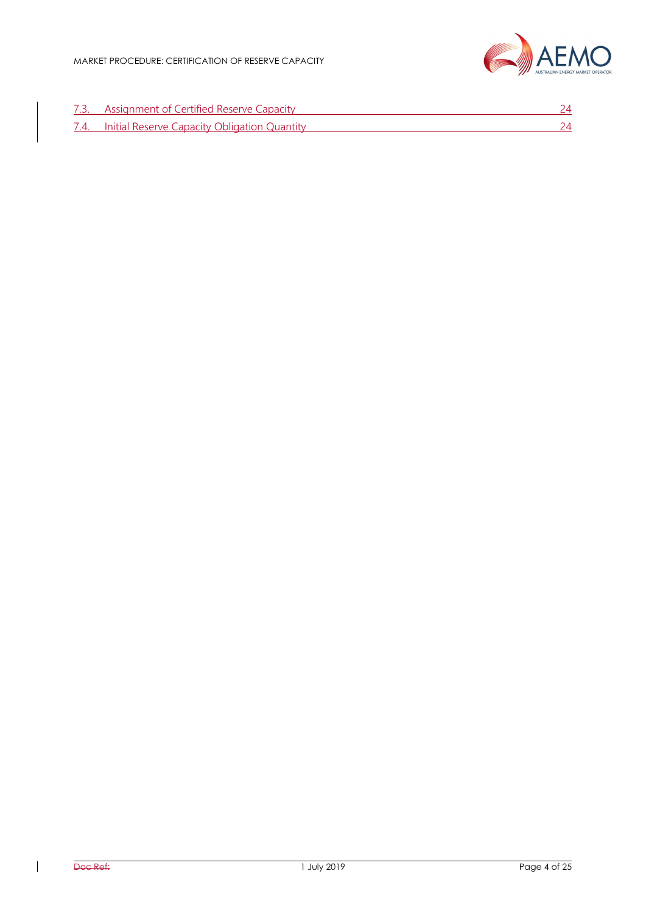

| 7.3. Assignment of Certified Reserve Capacity     |  |
|---------------------------------------------------|--|
| 7.4. Initial Reserve Capacity Obligation Quantity |  |

 $\overline{\phantom{a}}$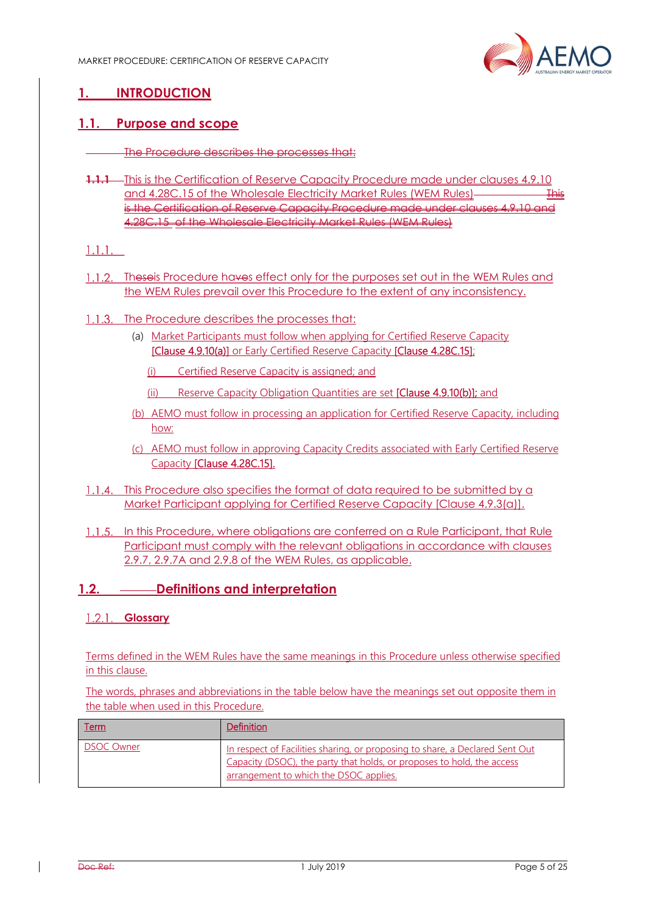

# **1. INTRODUCTION**

#### **1.1. Purpose and scope**

- The Procedure describes the processes that:
- **1.1.1** This is the Certification of Reserve Capacity Procedure made under clauses 4.9.10 and 4.28C.15 of the Wholesale Electricity Market Rules (WEM Rules)is the Certification of Reserve Capacity Procedure made under clause 4.28C.15 of the Wholesale Electricity Market Rules (WEM Rules)

#### $1.1.1.$

- 1.1.2. Theseis Procedure haves effect only for the purposes set out in the WEM Rules and the WEM Rules prevail over this Procedure to the extent of any inconsistency.
- 1.1.3. The Procedure describes the processes that:
	- (a) Market Participants must follow when applying for Certified Reserve Capacity [Clause 4.9.10(a)] or Early Certified Reserve Capacity [Clause 4.28C.15];
		- (i) Certified Reserve Capacity is assigned; and
		- (ii) Reserve Capacity Obligation Quantities are set [Clause 4.9.10(b)]; and
	- (b) AEMO must follow in processing an application for Certified Reserve Capacity, including how:
	- (c) AEMO must follow in approving Capacity Credits associated with Early Certified Reserve Capacity [Clause 4.28C.15].
- 1.1.4. This Procedure also specifies the format of data required to be submitted by a Market Participant applying for Certified Reserve Capacity [Clause 4.9.3(a)].
- 1.1.5. In this Procedure, where obligations are conferred on a Rule Participant, that Rule Participant must comply with the relevant obligations in accordance with clauses 2.9.7, 2.9.7A and 2.9.8 of the WEM Rules, as applicable.

#### **1.2. Definitions and interpretation**

#### **Glossary**

Terms defined in the WEM Rules have the same meanings in this Procedure unless otherwise specified in this clause.

The words, phrases and abbreviations in the table below have the meanings set out opposite them in the table when used in this Procedure.

| <u>Term</u>       | Definition                                                                                                                                                                                       |
|-------------------|--------------------------------------------------------------------------------------------------------------------------------------------------------------------------------------------------|
| <b>DSOC Owner</b> | In respect of Facilities sharing, or proposing to share, a Declared Sent Out<br>Capacity (DSOC), the party that holds, or proposes to hold, the access<br>arrangement to which the DSOC applies. |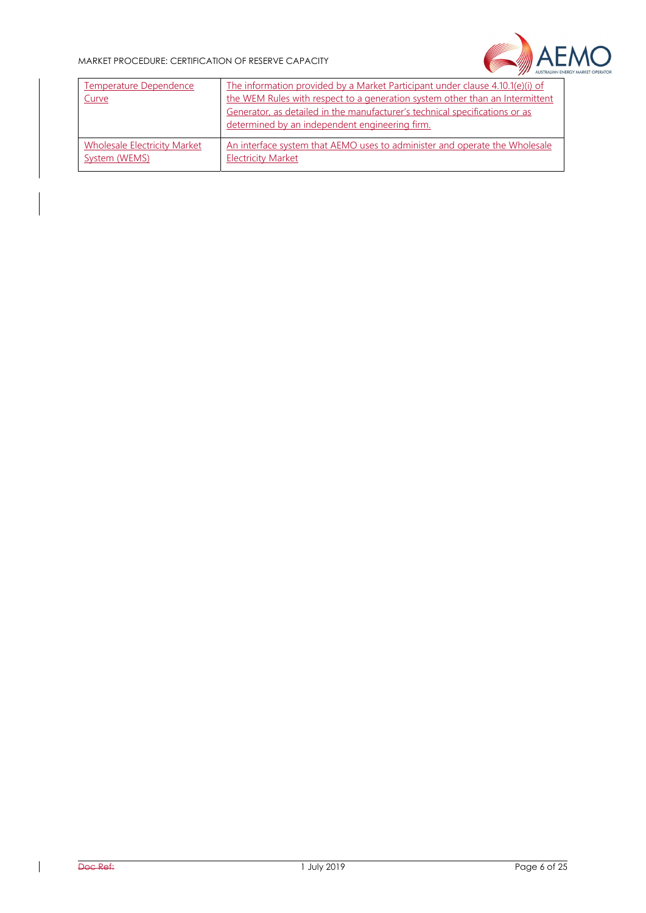#### MARKET PROCEDURE: CERTIFICATION OF RESERVE CAPACITY



| Temperature Dependence<br>Curve     | The information provided by a Market Participant under clause 4.10.1(e)(i) of<br>the WEM Rules with respect to a generation system other than an Intermittent<br>Generator, as detailed in the manufacturer's technical specifications or as<br>determined by an independent engineering firm. |
|-------------------------------------|------------------------------------------------------------------------------------------------------------------------------------------------------------------------------------------------------------------------------------------------------------------------------------------------|
| <b>Wholesale Electricity Market</b> | An interface system that AEMO uses to administer and operate the Wholesale                                                                                                                                                                                                                     |
| System (WEMS)                       | <b>Electricity Market</b>                                                                                                                                                                                                                                                                      |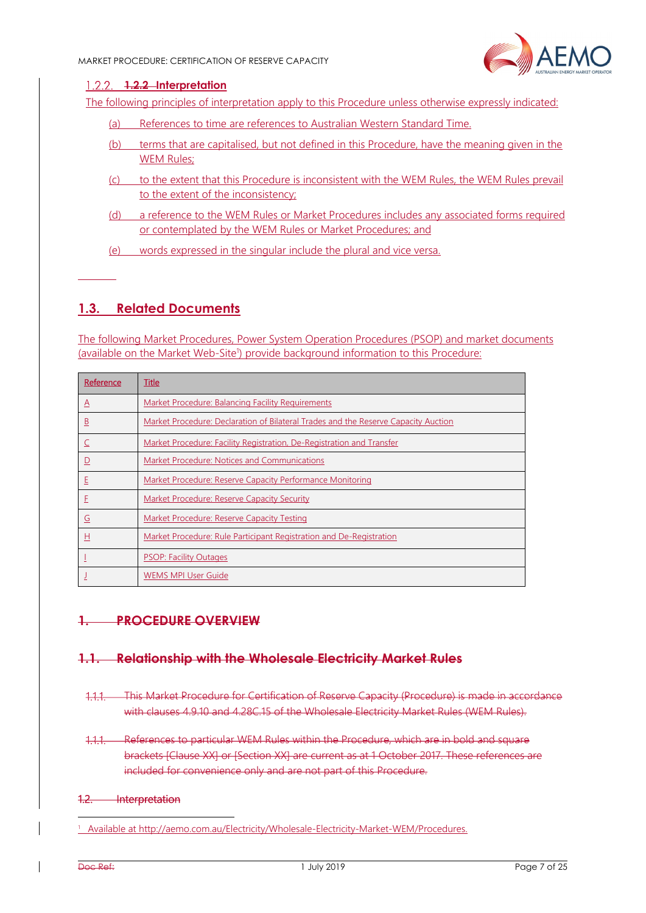

#### **1.2.2 Interpretation**

The following principles of interpretation apply to this Procedure unless otherwise expressly indicated:

- (a) References to time are references to Australian Western Standard Time.
- (b) terms that are capitalised, but not defined in this Procedure, have the meaning given in the WEM Rules:
- (c) to the extent that this Procedure is inconsistent with the WEM Rules, the WEM Rules prevail to the extent of the inconsistency;
- (d) a reference to the WEM Rules or Market Procedures includes any associated forms required or contemplated by the WEM Rules or Market Procedures; and
- (e) words expressed in the singular include the plural and vice versa.

# **1.3. Related Documents**

The following Market Procedures, Power System Operation Procedures (PSOP) and market documents (available on the Market Web-Site<sup>1</sup>) provide background information to this Procedure:

| Reference | Title                                                                              |
|-----------|------------------------------------------------------------------------------------|
| $\Delta$  | Market Procedure: Balancing Facility Requirements                                  |
| <u>B</u>  | Market Procedure: Declaration of Bilateral Trades and the Reserve Capacity Auction |
|           | Market Procedure: Facility Registration, De-Registration and Transfer              |
| ⊵         | Market Procedure: Notices and Communications                                       |
| Ε         | Market Procedure: Reserve Capacity Performance Monitoring                          |
| F         | Market Procedure: Reserve Capacity Security                                        |
| G         | <b>Market Procedure: Reserve Capacity Testing</b>                                  |
| 且         | Market Procedure: Rule Participant Registration and De-Registration                |
|           | <b>PSOP: Facility Outages</b>                                                      |
|           | <b>WEMS MPI User Guide</b>                                                         |

#### **1. PROCEDURE OVERVIEW**

#### **1.1. Relationship with the Wholesale Electricity Market Rules**

- This Market Procedure for Certification of Reserve Capacity (Procedure) is made in accordance with clauses 4.9.10 and 4.28C.15 of the Wholesale Electricity Market Rules (WEM Rules).
- 1.1.1. References to particular WEM Rules within the Procedure, which are in bold and square brackets [Clause XX] or [Section XX] are current as at 1 October 2017. These references are included for convenience only and are not part of this Procedure.

#### 1.2. Interpretation

<sup>1</sup> Available at http://aemo.com.au/Electricity/Wholesale-Electricity-Market-WEM/Procedures.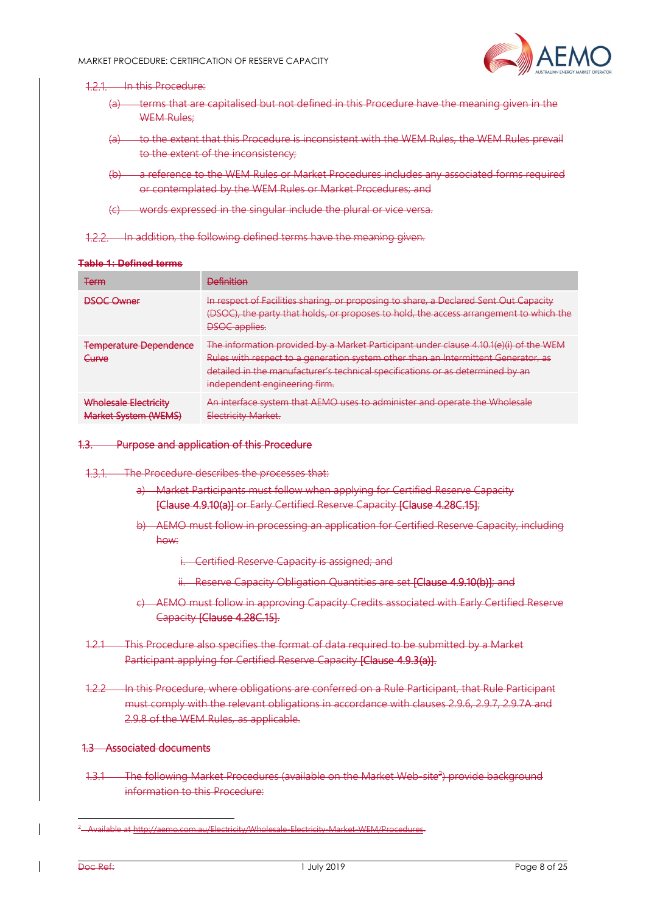

#### 12.1 In this Procedure:

- (a) terms that are capitalised but not defined in this Procedure have the meaning given in the WEM Rules:
- (a) to the extent that this Procedure is inconsistent with the WEM Rules, the WEM Rules prevail to the extent of the inconsistency;
- (b) a reference to the WEM Rules or Market Procedures includes any associated forms required or contemplated by the WEM Rules or Market Procedures; and
- (c) words expressed in the singular include the plural or vice versa.

1.2.2. In addition, the following defined terms have the meaning given.

#### **Table 1: Defined terms**

| Term                                                 | <b>Definition</b>                                                                                                                                                                                                                                                                              |
|------------------------------------------------------|------------------------------------------------------------------------------------------------------------------------------------------------------------------------------------------------------------------------------------------------------------------------------------------------|
| <b>DSOC Owner</b>                                    | In respect of Facilities sharing, or proposing to share, a Declared Sent Out Capacity<br>(DSOC), the party that holds, or proposes to hold, the access arrangement to which the<br><b>DSOC</b> applies.                                                                                        |
| <b>Temperature Dependence</b><br>Curve               | The information provided by a Market Participant under clause 4.10.1(e)(i) of the WEM<br>Rules with respect to a generation system other than an Intermittent Generator, as<br>detailed in the manufacturer's technical specifications or as determined by an<br>independent engineering firm. |
| Wholesale Electricity<br><b>Market System (WEMS)</b> | An interface system that AEMO uses to administer and operate the Wholesale<br>Electricity Market.                                                                                                                                                                                              |

#### 1.3. Purpose and application of this Procedure

- 1.3.1. The Procedure describes the processes that:
	- a) Market Participants must follow when applying for Certified Reserve Capacity [Clause 4.9.10(a)] or Early Certified Reserve Capacity [Clause 4.28C.15];
	- b) AEMO must follow in processing an application for Certified Reserve Capacity, including how:
		- i. Certified Reserve Capacity is assigned; and
		- ii. Reserve Capacity Obligation Quantities are set [Clause 4.9.10(b)]; and
	- c) AEMO must follow in approving Capacity Credits associated with Early Certified Reserve Capacity [Clause 4.28C.15].
- 1.2.1 This Procedure also specifies the format of data required to be submitted by a Market Participant applying for Certified Reserve Capacity [Clause 4.9.3(a)].
- 1.2.2 In this Procedure, where obligations are conferred on a Rule Participant, that Rule Participant must comply with the relevant obligations in accordance with clauses 2.9.6, 2.9.7, 2.9.7A and 2.9.8 of the WEM Rules, as applicable.

#### 1.3 Associated documents

1.3.1 The following Market Procedures (available on the Market Web-site<sup>2</sup>) provide background information to this Procedure:

\_<br><sup>2</sup>\_\_Available at <u>http://aemo.com.au/Electricity/Wholesale-Electricity-Market-WEM/Procedures</u>.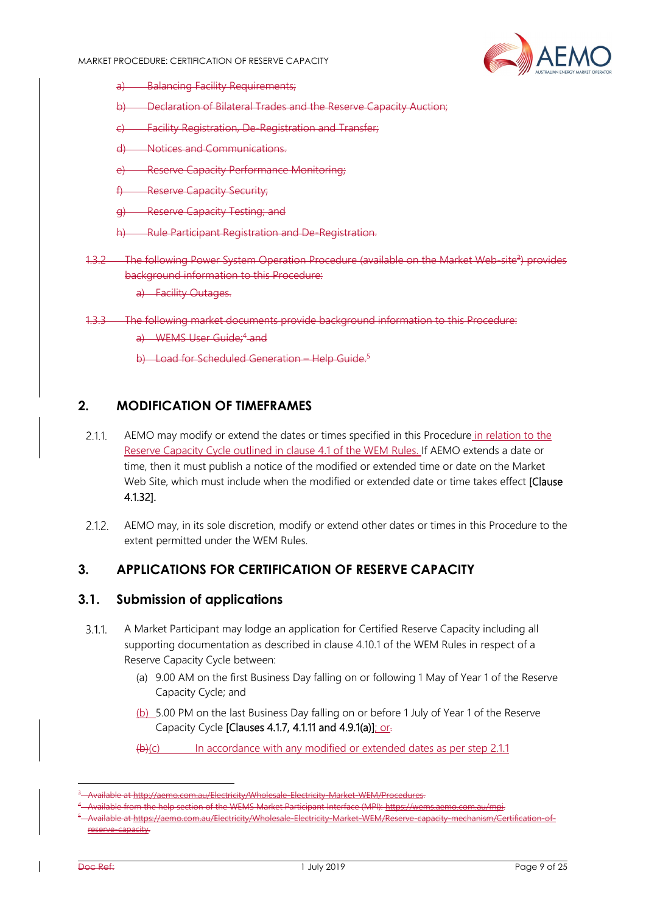

- a) Balancing Facility Requirements;
- **Declaration of Bilateral Trades and the Reserve Capacity Auction:**
- **Facility Registration, De-Registration and Transfer;**
- Notices and Communications.
- **Reserve Capacity Performance Monitoring:**
- **Reserve Capacity Security;**
- g) Reserve Capacity Testing; and
- Rule Participant Registration and De-Registration.
- 1.3.2 The following Power System Operation Procedure (available on the Market Web-site<sup>3</sup>) provides background information to this Procedure:
	- a) Facility Outages.
- 1.3.3 The following market documents provide background information to this Procedure: a) WEMS User Guide:<sup>4</sup> and
	- b) Load for Scheduled Generation Help Guide.<sup>5</sup>

#### **2. MODIFICATION OF TIMEFRAMES**

- $2.1.1$ AEMO may modify or extend the dates or times specified in this Procedure in relation to the Reserve Capacity Cycle outlined in clause 4.1 of the WEM Rules. If AEMO extends a date or time, then it must publish a notice of the modified or extended time or date on the Market Web Site, which must include when the modified or extended date or time takes effect [Clause 4.1.32].
- AEMO may, in its sole discretion, modify or extend other dates or times in this Procedure to the  $2.1.2.$ extent permitted under the WEM Rules.

#### **3. APPLICATIONS FOR CERTIFICATION OF RESERVE CAPACITY**

#### **3.1. Submission of applications**

- A Market Participant may lodge an application for Certified Reserve Capacity including all  $3.1.1$ supporting documentation as described in clause 4.10.1 of the WEM Rules in respect of a Reserve Capacity Cycle between:
	- (a) 9.00 AM on the first Business Day falling on or following 1 May of Year 1 of the Reserve Capacity Cycle; and
	- (b) 5.00 PM on the last Business Day falling on or before 1 July of Year 1 of the Reserve Capacity Cycle [Clauses 4.1.7, 4.1.11 and 4.9.1(a)]; or-
	- $(b)(c)$  In accordance with any modified or extended dates as per step 2.1.1

<sup>3</sup> Available at http://aemo.com.au/Electricity/Wholesale-Electricity-Market-WEM/Procedures. 4

ailable from the help section of the WEMS Market Participant Interface (MPI): <u>https://wems.ac</u><br>ailable at <u>https://aemo.</u>com.au/Electricity/Wholesale-Electricity-Market-WEM/Reserve-capacit

Available at https://aemo.com.au/Electricity/Wholesale-Electricity-Market-WEM/Reserve-capacity-mechanism/Certification-ofserve-capacity.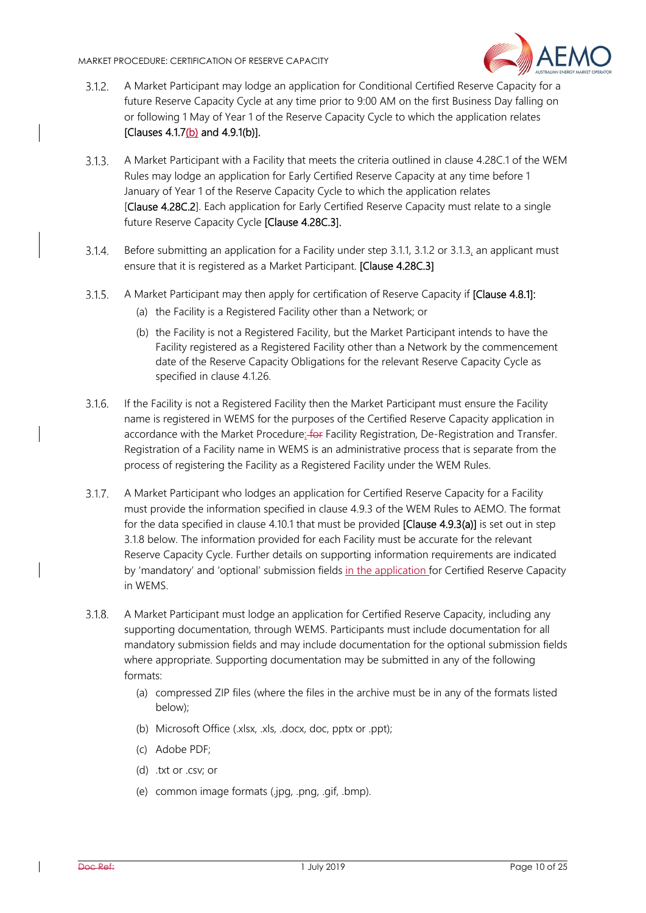

- A Market Participant may lodge an application for Conditional Certified Reserve Capacity for a  $3.1.2.$ future Reserve Capacity Cycle at any time prior to 9:00 AM on the first Business Day falling on or following 1 May of Year 1 of the Reserve Capacity Cycle to which the application relates [Clauses 4.1.7(b) and 4.9.1(b)].
- $3.1.3.$ A Market Participant with a Facility that meets the criteria outlined in clause 4.28C.1 of the WEM Rules may lodge an application for Early Certified Reserve Capacity at any time before 1 January of Year 1 of the Reserve Capacity Cycle to which the application relates [Clause 4.28C.2]. Each application for Early Certified Reserve Capacity must relate to a single future Reserve Capacity Cycle [Clause 4.28C.3].
- $3.1.4.$ Before submitting an application for a Facility under step 3.1.1, 3.1.2 or 3.1.3, an applicant must ensure that it is registered as a Market Participant. [Clause 4.28C.3]
- $3.1.5.$ A Market Participant may then apply for certification of Reserve Capacity if [Clause 4.8.1]:
	- (a) the Facility is a Registered Facility other than a Network; or
	- (b) the Facility is not a Registered Facility, but the Market Participant intends to have the Facility registered as a Registered Facility other than a Network by the commencement date of the Reserve Capacity Obligations for the relevant Reserve Capacity Cycle as specified in clause 4.1.26.
- If the Facility is not a Registered Facility then the Market Participant must ensure the Facility  $3.1.6.$ name is registered in WEMS for the purposes of the Certified Reserve Capacity application in accordance with the Market Procedure: for Facility Registration, De-Registration and Transfer. Registration of a Facility name in WEMS is an administrative process that is separate from the process of registering the Facility as a Registered Facility under the WEM Rules.
- $3.1.7.$ A Market Participant who lodges an application for Certified Reserve Capacity for a Facility must provide the information specified in clause 4.9.3 of the WEM Rules to AEMO. The format for the data specified in clause 4.10.1 that must be provided [Clause 4.9.3(a)] is set out in step 3.1.8 below. The information provided for each Facility must be accurate for the relevant Reserve Capacity Cycle. Further details on supporting information requirements are indicated by 'mandatory' and 'optional' submission fields in the application for Certified Reserve Capacity in WEMS.
- $3.1.8$ A Market Participant must lodge an application for Certified Reserve Capacity, including any supporting documentation, through WEMS. Participants must include documentation for all mandatory submission fields and may include documentation for the optional submission fields where appropriate. Supporting documentation may be submitted in any of the following formats:
	- (a) compressed ZIP files (where the files in the archive must be in any of the formats listed below);
	- (b) Microsoft Office (.xlsx, .xls, .docx, doc, pptx or .ppt);
	- (c) Adobe PDF;
	- (d) .txt or .csv; or
	- (e) common image formats (.jpg, .png, .gif, .bmp).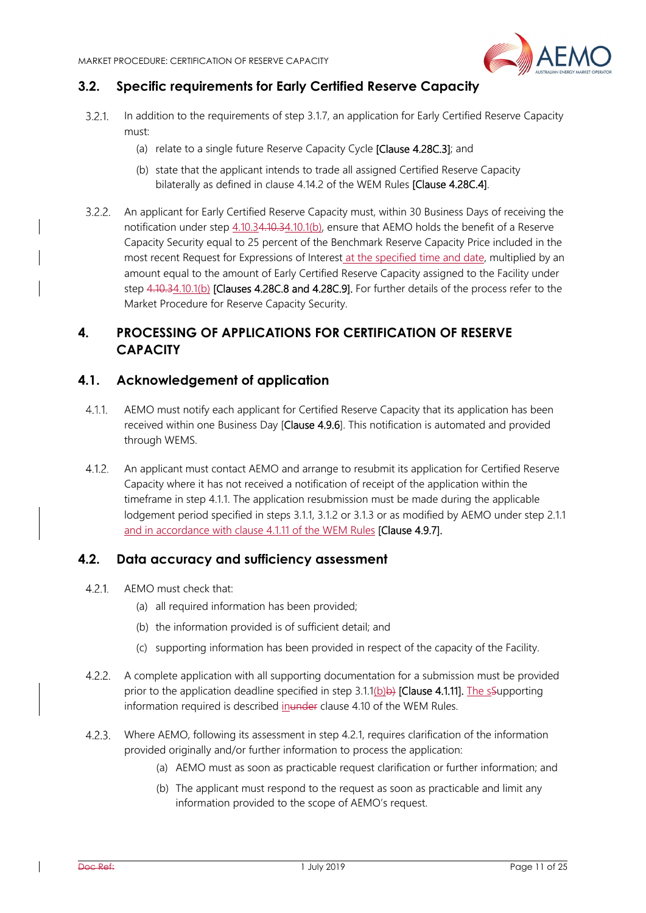

### **3.2. Specific requirements for Early Certified Reserve Capacity**

- $321$ In addition to the requirements of step 3.1.7, an application for Early Certified Reserve Capacity must:
	- (a) relate to a single future Reserve Capacity Cycle [Clause 4.28C.3]; and
	- (b) state that the applicant intends to trade all assigned Certified Reserve Capacity bilaterally as defined in clause 4.14.2 of the WEM Rules [Clause 4.28C.4].
- An applicant for Early Certified Reserve Capacity must, within 30 Business Days of receiving the notification under step  $4.10.34.10.34.10.1(b)$ , ensure that AEMO holds the benefit of a Reserve Capacity Security equal to 25 percent of the Benchmark Reserve Capacity Price included in the most recent Request for Expressions of Interest at the specified time and date, multiplied by an amount equal to the amount of Early Certified Reserve Capacity assigned to the Facility under step 4.10.34.10.1(b) [Clauses 4.28C.8 and 4.28C.9]. For further details of the process refer to the Market Procedure for Reserve Capacity Security.

# **4. PROCESSING OF APPLICATIONS FOR CERTIFICATION OF RESERVE CAPACITY**

#### **4.1. Acknowledgement of application**

- AEMO must notify each applicant for Certified Reserve Capacity that its application has been  $4.1.1$ received within one Business Day [Clause 4.9.6]. This notification is automated and provided through WEMS.
- $4.1.2.$ An applicant must contact AEMO and arrange to resubmit its application for Certified Reserve Capacity where it has not received a notification of receipt of the application within the timeframe in step 4.1.1. The application resubmission must be made during the applicable lodgement period specified in steps 3.1.1, 3.1.2 or 3.1.3 or as modified by AEMO under step 2.1.1 and in accordance with clause 4.1.11 of the WEM Rules [Clause 4.9.7].

#### **4.2. Data accuracy and sufficiency assessment**

- $4.2.1$ AEMO must check that:
	- (a) all required information has been provided;
	- (b) the information provided is of sufficient detail; and
	- (c) supporting information has been provided in respect of the capacity of the Facility.
- $4.2.2.$ A complete application with all supporting documentation for a submission must be provided prior to the application deadline specified in step  $3.1.1(b)$  [Clause 4.1.11]. The sSupporting information required is described inunder clause 4.10 of the WEM Rules.
- Where AEMO, following its assessment in step 4.2.1, requires clarification of the information provided originally and/or further information to process the application:
	- (a) AEMO must as soon as practicable request clarification or further information; and
	- (b) The applicant must respond to the request as soon as practicable and limit any information provided to the scope of AEMO's request.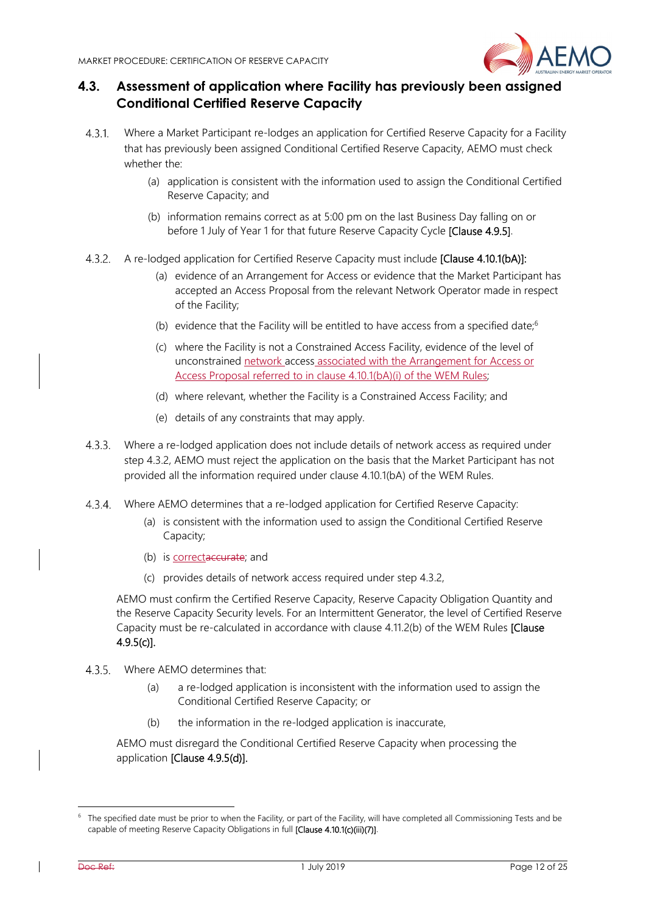

# **4.3. Assessment of application where Facility has previously been assigned Conditional Certified Reserve Capacity**

- Where a Market Participant re-lodges an application for Certified Reserve Capacity for a Facility 4.3.1. that has previously been assigned Conditional Certified Reserve Capacity, AEMO must check whether the:
	- (a) application is consistent with the information used to assign the Conditional Certified Reserve Capacity; and
	- (b) information remains correct as at 5:00 pm on the last Business Day falling on or before 1 July of Year 1 for that future Reserve Capacity Cycle [Clause 4.9.5].
- A re-lodged application for Certified Reserve Capacity must include [Clause 4.10.1(bA)]:
	- (a) evidence of an Arrangement for Access or evidence that the Market Participant has accepted an Access Proposal from the relevant Network Operator made in respect of the Facility;
	- (b) evidence that the Facility will be entitled to have access from a specified date; $6$
	- (c) where the Facility is not a Constrained Access Facility, evidence of the level of unconstrained network access associated with the Arrangement for Access or Access Proposal referred to in clause 4.10.1(bA)(i) of the WEM Rules;
	- (d) where relevant, whether the Facility is a Constrained Access Facility; and
	- (e) details of any constraints that may apply.
- Where a re-lodged application does not include details of network access as required under step 4.3.2, AEMO must reject the application on the basis that the Market Participant has not provided all the information required under clause 4.10.1(bA) of the WEM Rules.
- Where AEMO determines that a re-lodged application for Certified Reserve Capacity:
	- (a) is consistent with the information used to assign the Conditional Certified Reserve Capacity;
	- (b) is correctaceurate; and
	- (c) provides details of network access required under step 4.3.2,

AEMO must confirm the Certified Reserve Capacity, Reserve Capacity Obligation Quantity and the Reserve Capacity Security levels. For an Intermittent Generator, the level of Certified Reserve Capacity must be re-calculated in accordance with clause 4.11.2(b) of the WEM Rules [Clause 4.9.5(c)].

- Where AEMO determines that:
	- (a) a re-lodged application is inconsistent with the information used to assign the Conditional Certified Reserve Capacity; or
	- (b) the information in the re-lodged application is inaccurate,

AEMO must disregard the Conditional Certified Reserve Capacity when processing the application [Clause 4.9.5(d)].

 $6$  The specified date must be prior to when the Facility, or part of the Facility, will have completed all Commissioning Tests and be capable of meeting Reserve Capacity Obligations in full [Clause 4.10.1(c)(iii)(7)].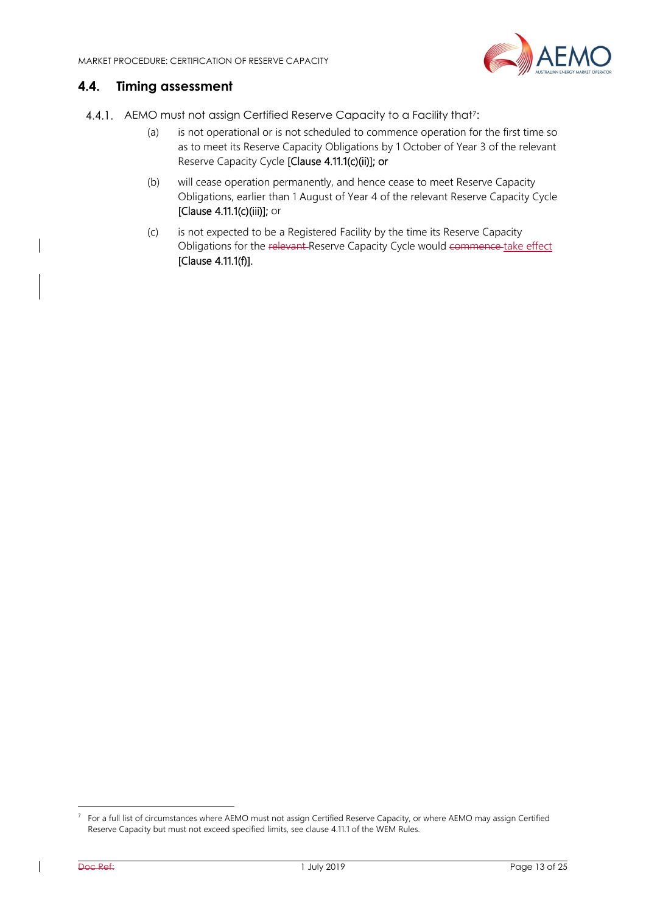

#### **4.4. Timing assessment**

- 4.4.1. AEMO must not assign Certified Reserve Capacity to a Facility that<sup>7</sup>:
	- (a) is not operational or is not scheduled to commence operation for the first time so as to meet its Reserve Capacity Obligations by 1 October of Year 3 of the relevant Reserve Capacity Cycle [Clause 4.11.1(c)(ii)]; or
	- (b) will cease operation permanently, and hence cease to meet Reserve Capacity Obligations, earlier than 1 August of Year 4 of the relevant Reserve Capacity Cycle [Clause 4.11.1(c)(iii)]; or
	- (c) is not expected to be a Registered Facility by the time its Reserve Capacity Obligations for the relevant-Reserve Capacity Cycle would commence take effect [Clause 4.11.1(f)].

 $7$  For a full list of circumstances where AEMO must not assign Certified Reserve Capacity, or where AEMO may assign Certified Reserve Capacity but must not exceed specified limits, see clause 4.11.1 of the WEM Rules.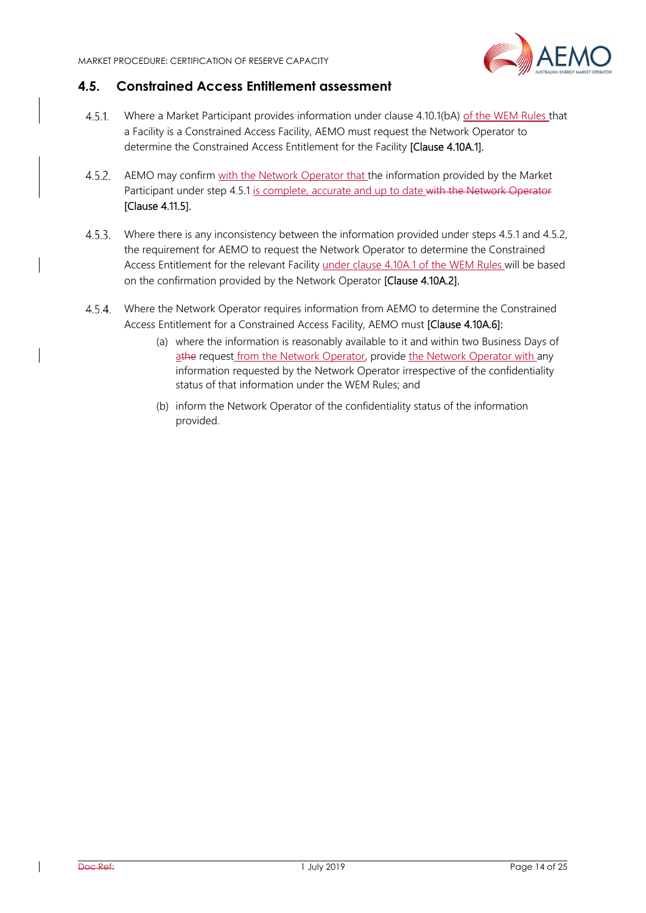

#### **4.5. Constrained Access Entitlement assessment**

- $4.5.1$ Where a Market Participant provides information under clause 4.10.1(bA) of the WEM Rules that a Facility is a Constrained Access Facility, AEMO must request the Network Operator to determine the Constrained Access Entitlement for the Facility [Clause 4.10A.1].
- 4.5.2. AEMO may confirm with the Network Operator that the information provided by the Market Participant under step 4.5.1 is complete, accurate and up to date with the Network Operator [Clause 4.11.5].
- $4.5.3$ Where there is any inconsistency between the information provided under steps 4.5.1 and 4.5.2, the requirement for AEMO to request the Network Operator to determine the Constrained Access Entitlement for the relevant Facility under clause 4.10A.1 of the WEM Rules will be based on the confirmation provided by the Network Operator [Clause 4.10A.2].
- 4.5.4. Where the Network Operator requires information from AEMO to determine the Constrained Access Entitlement for a Constrained Access Facility, AEMO must [Clause 4.10A.6]:
	- (a) where the information is reasonably available to it and within two Business Days of athe request from the Network Operator, provide the Network Operator with any information requested by the Network Operator irrespective of the confidentiality status of that information under the WEM Rules; and
	- (b) inform the Network Operator of the confidentiality status of the information provided.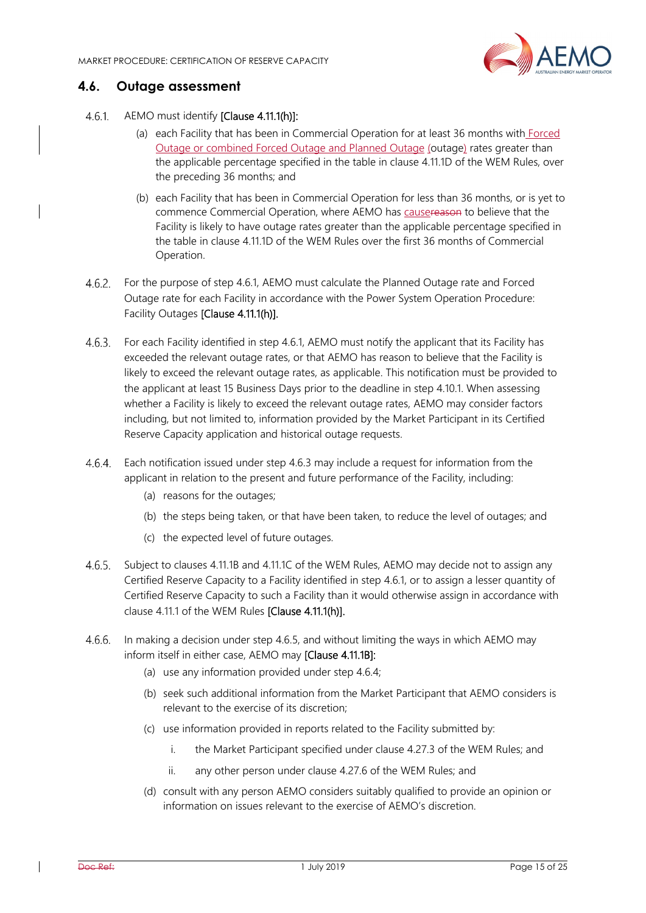

#### **4.6. Outage assessment**

- 461 AEMO must identify [Clause 4.11.1(h)]:
	- (a) each Facility that has been in Commercial Operation for at least 36 months with Forced Outage or combined Forced Outage and Planned Outage (outage) rates greater than the applicable percentage specified in the table in clause 4.11.1D of the WEM Rules, over the preceding 36 months; and
	- (b) each Facility that has been in Commercial Operation for less than 36 months, or is yet to commence Commercial Operation, where AEMO has causereason to believe that the Facility is likely to have outage rates greater than the applicable percentage specified in the table in clause 4.11.1D of the WEM Rules over the first 36 months of Commercial Operation.
- For the purpose of step 4.6.1, AEMO must calculate the Planned Outage rate and Forced Outage rate for each Facility in accordance with the Power System Operation Procedure: Facility Outages [Clause 4.11.1(h)].
- For each Facility identified in step 4.6.1, AEMO must notify the applicant that its Facility has exceeded the relevant outage rates, or that AEMO has reason to believe that the Facility is likely to exceed the relevant outage rates, as applicable. This notification must be provided to the applicant at least 15 Business Days prior to the deadline in step 4.10.1. When assessing whether a Facility is likely to exceed the relevant outage rates, AEMO may consider factors including, but not limited to, information provided by the Market Participant in its Certified Reserve Capacity application and historical outage requests.
- Each notification issued under step 4.6.3 may include a request for information from the  $4.6.4.$ applicant in relation to the present and future performance of the Facility, including:
	- (a) reasons for the outages;
	- (b) the steps being taken, or that have been taken, to reduce the level of outages; and
	- (c) the expected level of future outages.
- 4.6.5. Subject to clauses 4.11.1B and 4.11.1C of the WEM Rules, AEMO may decide not to assign any Certified Reserve Capacity to a Facility identified in step 4.6.1, or to assign a lesser quantity of Certified Reserve Capacity to such a Facility than it would otherwise assign in accordance with clause 4.11.1 of the WEM Rules [Clause 4.11.1(h)].
- In making a decision under step 4.6.5, and without limiting the ways in which AEMO may inform itself in either case, AEMO may [Clause 4.11.1B]:
	- (a) use any information provided under step 4.6.4;
	- (b) seek such additional information from the Market Participant that AEMO considers is relevant to the exercise of its discretion;
	- (c) use information provided in reports related to the Facility submitted by:
		- i. the Market Participant specified under clause 4.27.3 of the WEM Rules; and
		- ii. any other person under clause 4.27.6 of the WEM Rules; and
	- (d) consult with any person AEMO considers suitably qualified to provide an opinion or information on issues relevant to the exercise of AEMO's discretion.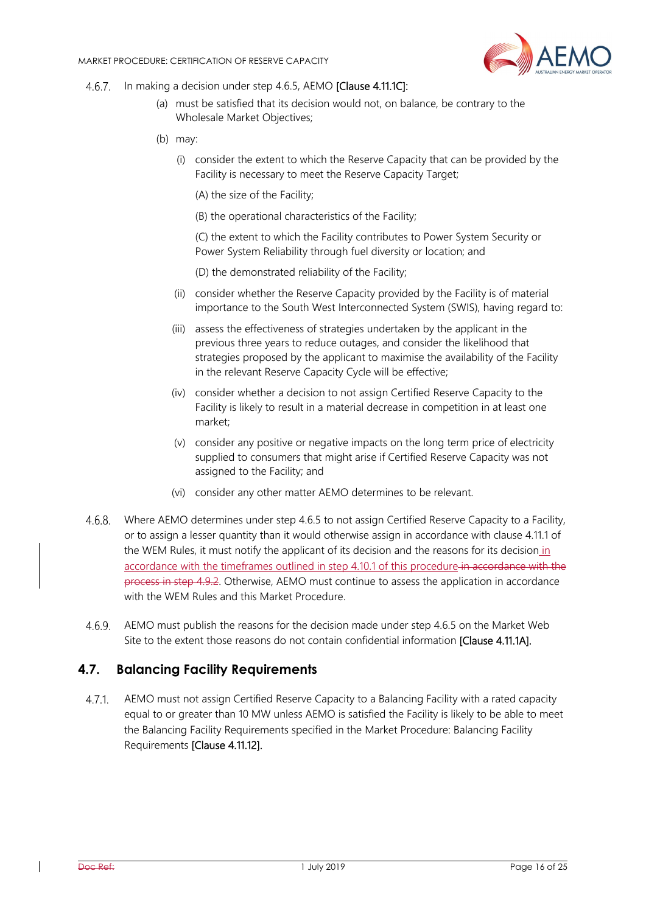

- 4.6.7. In making a decision under step 4.6.5, AEMO **[Clause 4.11.1C]:** 
	- (a) must be satisfied that its decision would not, on balance, be contrary to the Wholesale Market Objectives;
	- (b) may:
		- (i) consider the extent to which the Reserve Capacity that can be provided by the Facility is necessary to meet the Reserve Capacity Target;
			- (A) the size of the Facility;
			- (B) the operational characteristics of the Facility;

(C) the extent to which the Facility contributes to Power System Security or Power System Reliability through fuel diversity or location; and

- (D) the demonstrated reliability of the Facility;
- (ii) consider whether the Reserve Capacity provided by the Facility is of material importance to the South West Interconnected System (SWIS), having regard to:
- (iii) assess the effectiveness of strategies undertaken by the applicant in the previous three years to reduce outages, and consider the likelihood that strategies proposed by the applicant to maximise the availability of the Facility in the relevant Reserve Capacity Cycle will be effective;
- (iv) consider whether a decision to not assign Certified Reserve Capacity to the Facility is likely to result in a material decrease in competition in at least one market;
- (v) consider any positive or negative impacts on the long term price of electricity supplied to consumers that might arise if Certified Reserve Capacity was not assigned to the Facility; and
- (vi) consider any other matter AEMO determines to be relevant.
- Where AEMO determines under step 4.6.5 to not assign Certified Reserve Capacity to a Facility, or to assign a lesser quantity than it would otherwise assign in accordance with clause 4.11.1 of the WEM Rules, it must notify the applicant of its decision and the reasons for its decision in accordance with the timeframes outlined in step 4.10.1 of this procedure in accordance with the process in step 4.9.2. Otherwise, AEMO must continue to assess the application in accordance with the WEM Rules and this Market Procedure.
- $4.6.9.$ AEMO must publish the reasons for the decision made under step 4.6.5 on the Market Web Site to the extent those reasons do not contain confidential information [Clause 4.11.1A].

#### **4.7. Balancing Facility Requirements**

AEMO must not assign Certified Reserve Capacity to a Balancing Facility with a rated capacity  $4.7.1$ equal to or greater than 10 MW unless AEMO is satisfied the Facility is likely to be able to meet the Balancing Facility Requirements specified in the Market Procedure: Balancing Facility Requirements [Clause 4.11.12].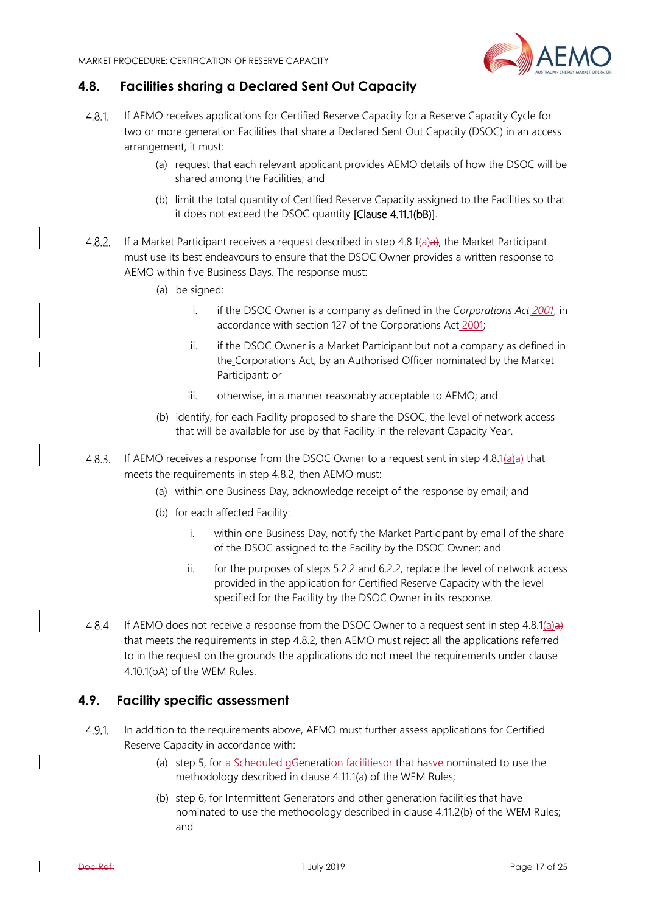

#### **4.8. Facilities sharing a Declared Sent Out Capacity**

- 4.8.1 If AEMO receives applications for Certified Reserve Capacity for a Reserve Capacity Cycle for two or more generation Facilities that share a Declared Sent Out Capacity (DSOC) in an access arrangement, it must:
	- (a) request that each relevant applicant provides AEMO details of how the DSOC will be shared among the Facilities; and
	- (b) limit the total quantity of Certified Reserve Capacity assigned to the Facilities so that it does not exceed the DSOC quantity [Clause 4.11.1(bB)].
- 4.8.2. If a Market Participant receives a request described in step 4.8.1(a)a), the Market Participant must use its best endeavours to ensure that the DSOC Owner provides a written response to AEMO within five Business Days. The response must:
	- (a) be signed:
		- i. if the DSOC Owner is a company as defined in the *Corporations Act 2001*, in accordance with section 127 of the Corporations Act 2001;
		- ii. if the DSOC Owner is a Market Participant but not a company as defined in the Corporations Act, by an Authorised Officer nominated by the Market Participant; or
		- iii. otherwise, in a manner reasonably acceptable to AEMO; and
	- (b) identify, for each Facility proposed to share the DSOC, the level of network access that will be available for use by that Facility in the relevant Capacity Year.
- 4.8.3. If AEMO receives a response from the DSOC Owner to a request sent in step 4.8.1(a)a) that meets the requirements in step 4.8.2, then AEMO must:
	- (a) within one Business Day, acknowledge receipt of the response by email; and
	- (b) for each affected Facility:
		- i. within one Business Day, notify the Market Participant by email of the share of the DSOC assigned to the Facility by the DSOC Owner; and
		- ii. for the purposes of steps 5.2.2 and 6.2.2, replace the level of network access provided in the application for Certified Reserve Capacity with the level specified for the Facility by the DSOC Owner in its response.
- 4.8.4. If AEMO does not receive a response from the DSOC Owner to a request sent in step 4.8.1(a) $\rightarrow$ that meets the requirements in step 4.8.2, then AEMO must reject all the applications referred to in the request on the grounds the applications do not meet the requirements under clause 4.10.1(bA) of the WEM Rules.

#### **4.9. Facility specific assessment**

- $4.9.1$ In addition to the requirements above, AEMO must further assess applications for Certified Reserve Capacity in accordance with:
	- (a) step 5, for a Scheduled  $\frac{1}{2}$ Generation facilities or that hasve nominated to use the methodology described in clause 4.11.1(a) of the WEM Rules;
	- (b) step 6, for Intermittent Generators and other generation facilities that have nominated to use the methodology described in clause 4.11.2(b) of the WEM Rules; and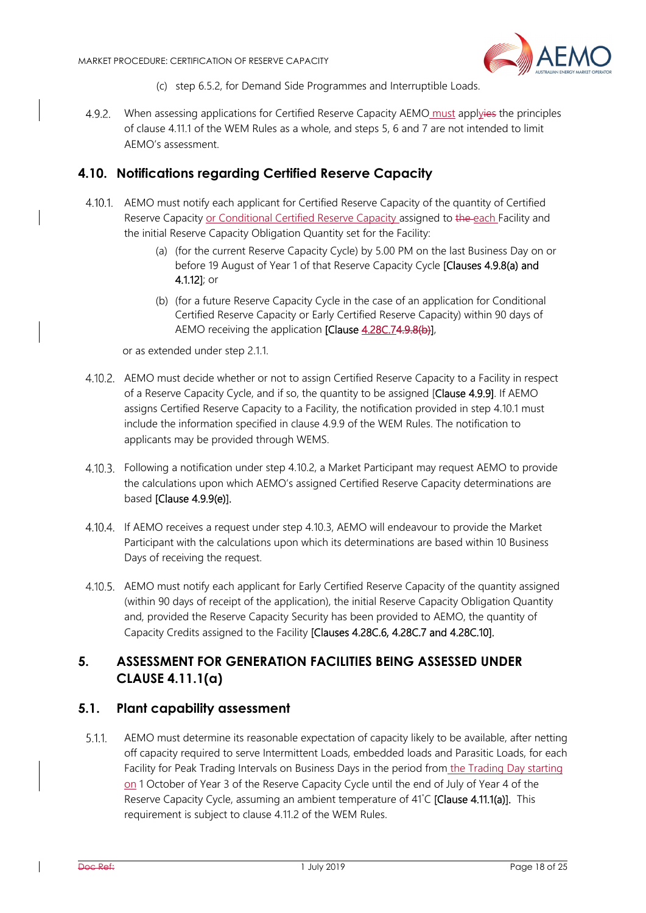

- (c) step 6.5.2, for Demand Side Programmes and Interruptible Loads.
- When assessing applications for Certified Reserve Capacity AEMO must applyies the principles of clause 4.11.1 of the WEM Rules as a whole, and steps 5, 6 and 7 are not intended to limit AEMO's assessment.

#### **4.10. Notifications regarding Certified Reserve Capacity**

- AEMO must notify each applicant for Certified Reserve Capacity of the quantity of Certified Reserve Capacity or Conditional Certified Reserve Capacity assigned to the each Facility and the initial Reserve Capacity Obligation Quantity set for the Facility:
	- (a) (for the current Reserve Capacity Cycle) by 5.00 PM on the last Business Day on or before 19 August of Year 1 of that Reserve Capacity Cycle [Clauses 4.9.8(a) and 4.1.12]; or
	- (b) (for a future Reserve Capacity Cycle in the case of an application for Conditional Certified Reserve Capacity or Early Certified Reserve Capacity) within 90 days of AEMO receiving the application [Clause 4.28C.74.9.8(b)],

or as extended under step 2.1.1.

- AEMO must decide whether or not to assign Certified Reserve Capacity to a Facility in respect of a Reserve Capacity Cycle, and if so, the quantity to be assigned [Clause 4.9.9]. If AEMO assigns Certified Reserve Capacity to a Facility, the notification provided in step 4.10.1 must include the information specified in clause 4.9.9 of the WEM Rules. The notification to applicants may be provided through WEMS.
- Following a notification under step 4.10.2, a Market Participant may request AEMO to provide the calculations upon which AEMO's assigned Certified Reserve Capacity determinations are based [Clause 4.9.9(e)].
- If AEMO receives a request under step 4.10.3, AEMO will endeavour to provide the Market Participant with the calculations upon which its determinations are based within 10 Business Days of receiving the request.
- AEMO must notify each applicant for Early Certified Reserve Capacity of the quantity assigned (within 90 days of receipt of the application), the initial Reserve Capacity Obligation Quantity and, provided the Reserve Capacity Security has been provided to AEMO, the quantity of Capacity Credits assigned to the Facility [Clauses 4.28C.6, 4.28C.7 and 4.28C.10].

# **5. ASSESSMENT FOR GENERATION FACILITIES BEING ASSESSED UNDER CLAUSE 4.11.1(a)**

#### **5.1. Plant capability assessment**

 $5.1.1.$ AEMO must determine its reasonable expectation of capacity likely to be available, after netting off capacity required to serve Intermittent Loads, embedded loads and Parasitic Loads, for each Facility for Peak Trading Intervals on Business Days in the period from the Trading Day starting on 1 October of Year 3 of the Reserve Capacity Cycle until the end of July of Year 4 of the Reserve Capacity Cycle, assuming an ambient temperature of 41°C [Clause 4.11.1(a)]. This requirement is subject to clause 4.11.2 of the WEM Rules.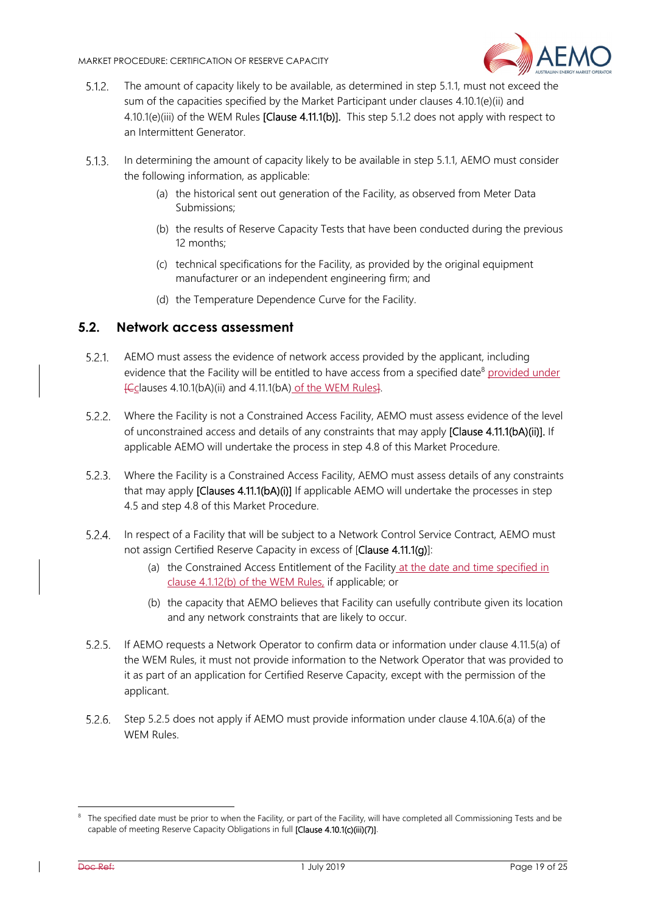

- $5.1.2.$ The amount of capacity likely to be available, as determined in step 5.1.1, must not exceed the sum of the capacities specified by the Market Participant under clauses 4.10.1(e)(ii) and 4.10.1(e)(iii) of the WEM Rules [Clause 4.11.1(b)]. This step 5.1.2 does not apply with respect to an Intermittent Generator.
- $5.1.3.$ In determining the amount of capacity likely to be available in step 5.1.1, AEMO must consider the following information, as applicable:
	- (a) the historical sent out generation of the Facility, as observed from Meter Data Submissions;
	- (b) the results of Reserve Capacity Tests that have been conducted during the previous 12 months;
	- (c) technical specifications for the Facility, as provided by the original equipment manufacturer or an independent engineering firm; and
	- (d) the Temperature Dependence Curve for the Facility.

#### **5.2. Network access assessment**

- AEMO must assess the evidence of network access provided by the applicant, including evidence that the Facility will be entitled to have access from a specified date<sup>8</sup> provided under [Cclauses 4.10.1(bA)(ii) and 4.11.1(bA) of the WEM Rules].
- Where the Facility is not a Constrained Access Facility, AEMO must assess evidence of the level of unconstrained access and details of any constraints that may apply [Clause 4.11.1(bA)(ii)]. If applicable AEMO will undertake the process in step 4.8 of this Market Procedure.
- Where the Facility is a Constrained Access Facility, AEMO must assess details of any constraints that may apply **[Clauses 4.11.1(bA)(i)]** If applicable AEMO will undertake the processes in step 4.5 and step 4.8 of this Market Procedure.
- 5.2.4. In respect of a Facility that will be subject to a Network Control Service Contract, AEMO must not assign Certified Reserve Capacity in excess of [Clause 4.11.1(g)]:
	- (a) the Constrained Access Entitlement of the Facility at the date and time specified in clause 4.1.12(b) of the WEM Rules, if applicable; or
	- (b) the capacity that AEMO believes that Facility can usefully contribute given its location and any network constraints that are likely to occur.
- If AEMO requests a Network Operator to confirm data or information under clause 4.11.5(a) of the WEM Rules, it must not provide information to the Network Operator that was provided to it as part of an application for Certified Reserve Capacity, except with the permission of the applicant.
- Step 5.2.5 does not apply if AEMO must provide information under clause 4.10A.6(a) of the WEM Rules.

<sup>&</sup>lt;sup>8</sup> The specified date must be prior to when the Facility, or part of the Facility, will have completed all Commissioning Tests and be capable of meeting Reserve Capacity Obligations in full [Clause 4.10.1(c)(iii)(7)].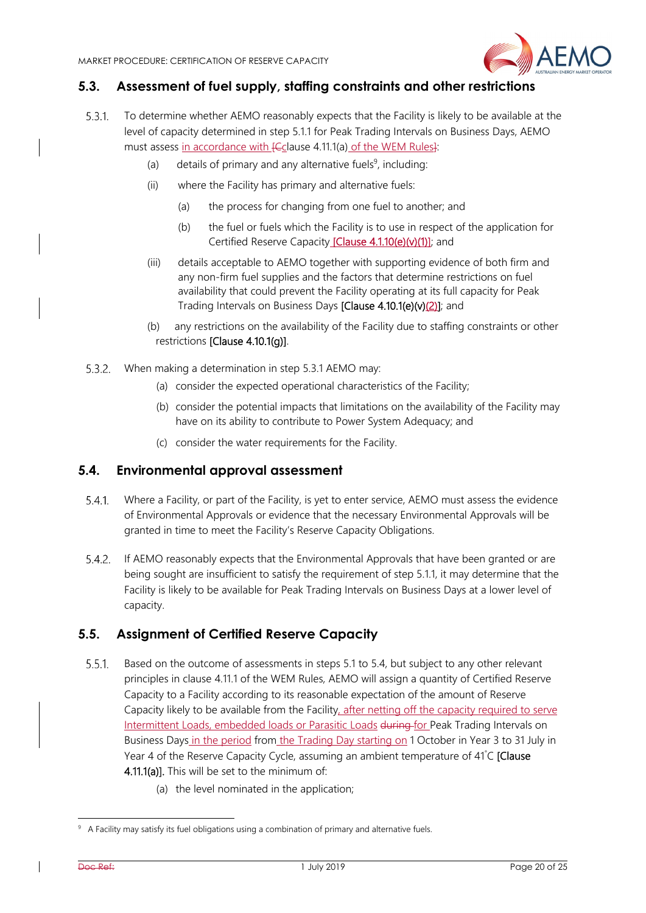

#### **5.3. Assessment of fuel supply, staffing constraints and other restrictions**

- 531 To determine whether AEMO reasonably expects that the Facility is likely to be available at the level of capacity determined in step 5.1.1 for Peak Trading Intervals on Business Days, AEMO must assess in accordance with *[Cclause 4.11.1(a)* of the WEM Rules]:
	- (a) details of primary and any alternative fuels<sup>9</sup>, including:
	- (ii) where the Facility has primary and alternative fuels:
		- (a) the process for changing from one fuel to another; and
		- (b) the fuel or fuels which the Facility is to use in respect of the application for Certified Reserve Capacity [Clause 4.1.10(e)(v)(1)]; and
	- (iii) details acceptable to AEMO together with supporting evidence of both firm and any non-firm fuel supplies and the factors that determine restrictions on fuel availability that could prevent the Facility operating at its full capacity for Peak Trading Intervals on Business Days [Clause 4.10.1(e)(v)(2)]; and
	- (b) any restrictions on the availability of the Facility due to staffing constraints or other restrictions [Clause 4.10.1(g)].
- When making a determination in step 5.3.1 AEMO may:
	- (a) consider the expected operational characteristics of the Facility;
	- (b) consider the potential impacts that limitations on the availability of the Facility may have on its ability to contribute to Power System Adequacy; and
	- (c) consider the water requirements for the Facility.

#### **5.4. Environmental approval assessment**

- Where a Facility, or part of the Facility, is yet to enter service, AEMO must assess the evidence  $5.4.1$ . of Environmental Approvals or evidence that the necessary Environmental Approvals will be granted in time to meet the Facility's Reserve Capacity Obligations.
- If AEMO reasonably expects that the Environmental Approvals that have been granted or are being sought are insufficient to satisfy the requirement of step 5.1.1, it may determine that the Facility is likely to be available for Peak Trading Intervals on Business Days at a lower level of capacity.

# **5.5. Assignment of Certified Reserve Capacity**

- $5.5.1$ Based on the outcome of assessments in steps 5.1 to 5.4, but subject to any other relevant principles in clause 4.11.1 of the WEM Rules, AEMO will assign a quantity of Certified Reserve Capacity to a Facility according to its reasonable expectation of the amount of Reserve Capacity likely to be available from the Facility, after netting off the capacity required to serve Intermittent Loads, embedded loads or Parasitic Loads during for Peak Trading Intervals on Business Days in the period from the Trading Day starting on 1 October in Year 3 to 31 July in Year 4 of the Reserve Capacity Cycle, assuming an ambient temperature of 41°C [Clause 4.11.1(a)]. This will be set to the minimum of:
	- (a) the level nominated in the application;

<sup>&</sup>lt;sup>9</sup> A Facility may satisfy its fuel obligations using a combination of primary and alternative fuels.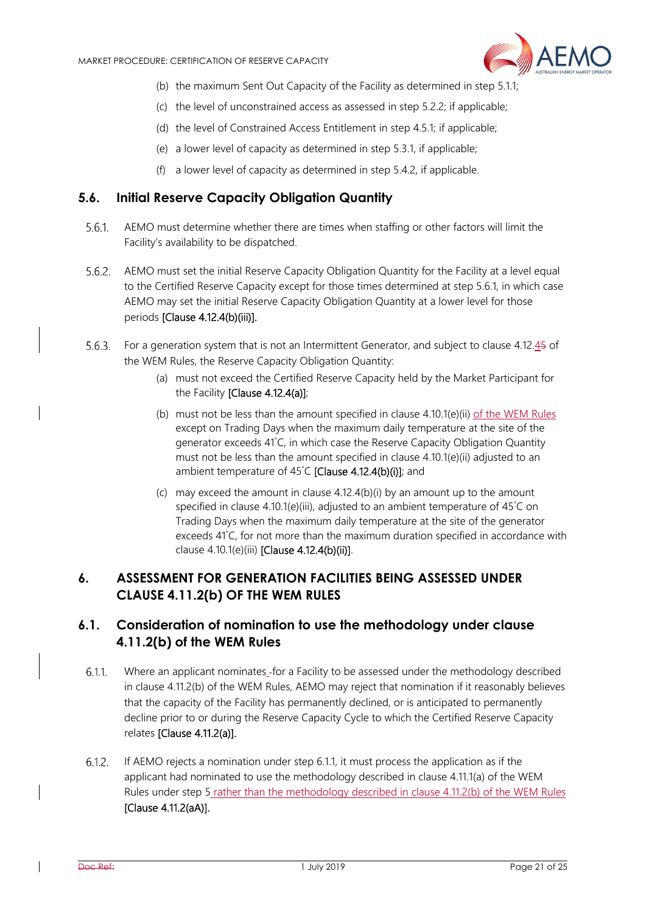

- (b) the maximum Sent Out Capacity of the Facility as determined in step 5.1.1;
- (c) the level of unconstrained access as assessed in step 5.2.2; if applicable;
- (d) the level of Constrained Access Entitlement in step 4.5.1; if applicable;
- (e) a lower level of capacity as determined in step 5.3.1, if applicable;
- (f) a lower level of capacity as determined in step 5.4.2, if applicable.

### **5.6. Initial Reserve Capacity Obligation Quantity**

- AEMO must determine whether there are times when staffing or other factors will limit the  $5.6.1.$ Facility's availability to be dispatched.
- 5.6.2. AEMO must set the initial Reserve Capacity Obligation Quantity for the Facility at a level equal to the Certified Reserve Capacity except for those times determined at step 5.6.1, in which case AEMO may set the initial Reserve Capacity Obligation Quantity at a lower level for those periods [Clause 4.12.4(b)(iii)].
- 5.6.3. For a generation system that is not an Intermittent Generator, and subject to clause 4.12.45 of the WEM Rules, the Reserve Capacity Obligation Quantity:
	- (a) must not exceed the Certified Reserve Capacity held by the Market Participant for the Facility [Clause 4.12.4(a)];
	- (b) must not be less than the amount specified in clause 4.10.1(e)(ii) of the WEM Rules except on Trading Days when the maximum daily temperature at the site of the generator exceeds 41° C, in which case the Reserve Capacity Obligation Quantity must not be less than the amount specified in clause 4.10.1(e)(ii) adjusted to an ambient temperature of 45°C [Clause 4.12.4(b)(i)]; and
	- (c) may exceed the amount in clause 4.12.4(b)(i) by an amount up to the amount specified in clause 4.10.1(e)(iii), adjusted to an ambient temperature of 45° C on Trading Days when the maximum daily temperature at the site of the generator exceeds 41° C, for not more than the maximum duration specified in accordance with clause 4.10.1(e)(iii) [Clause 4.12.4(b)(ii)].

# **6. ASSESSMENT FOR GENERATION FACILITIES BEING ASSESSED UNDER CLAUSE 4.11.2(b) OF THE WEM RULES**

# **6.1. Consideration of nomination to use the methodology under clause 4.11.2(b) of the WEM Rules**

- $6.1.1$ Where an applicant nominates for a Facility to be assessed under the methodology described in clause 4.11.2(b) of the WEM Rules, AEMO may reject that nomination if it reasonably believes that the capacity of the Facility has permanently declined, or is anticipated to permanently decline prior to or during the Reserve Capacity Cycle to which the Certified Reserve Capacity relates [Clause 4.11.2(a)].
- $6.1.2.$ If AEMO rejects a nomination under step 6.1.1, it must process the application as if the applicant had nominated to use the methodology described in clause 4.11.1(a) of the WEM Rules under step 5 rather than the methodology described in clause 4.11.2(b) of the WEM Rules [Clause 4.11.2(aA)].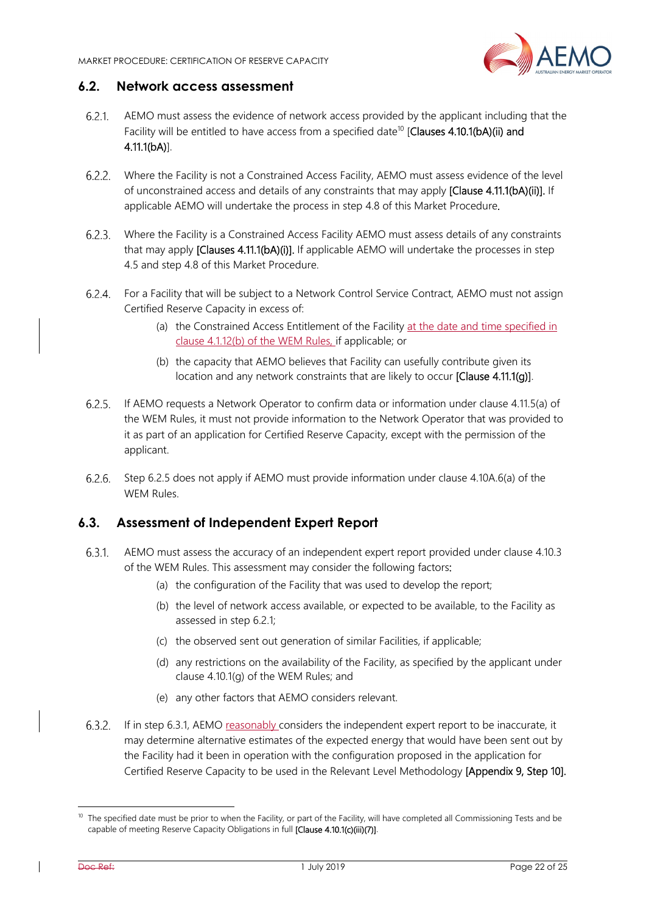

#### **6.2. Network access assessment**

- AEMO must assess the evidence of network access provided by the applicant including that the 621 Facility will be entitled to have access from a specified date<sup>10</sup> [Clauses 4.10.1(bA)(ii) and 4.11.1(bA)].
- Where the Facility is not a Constrained Access Facility, AEMO must assess evidence of the level of unconstrained access and details of any constraints that may apply [Clause 4.11.1(bA)(ii)]. If applicable AEMO will undertake the process in step 4.8 of this Market Procedure.
- Where the Facility is a Constrained Access Facility AEMO must assess details of any constraints that may apply [Clauses 4.11.1(bA)(i)]. If applicable AEMO will undertake the processes in step 4.5 and step 4.8 of this Market Procedure.
- For a Facility that will be subject to a Network Control Service Contract, AEMO must not assign Certified Reserve Capacity in excess of:
	- (a) the Constrained Access Entitlement of the Facility at the date and time specified in clause 4.1.12(b) of the WEM Rules, if applicable; or
	- (b) the capacity that AEMO believes that Facility can usefully contribute given its location and any network constraints that are likely to occur [Clause 4.11.1(g)].
- If AEMO requests a Network Operator to confirm data or information under clause 4.11.5(a) of the WEM Rules, it must not provide information to the Network Operator that was provided to it as part of an application for Certified Reserve Capacity, except with the permission of the applicant.
- Step 6.2.5 does not apply if AEMO must provide information under clause 4.10A.6(a) of the WEM Rules.

# **6.3. Assessment of Independent Expert Report**

- AEMO must assess the accuracy of an independent expert report provided under clause 4.10.3 of the WEM Rules. This assessment may consider the following factors:
	- (a) the configuration of the Facility that was used to develop the report;
	- (b) the level of network access available, or expected to be available, to the Facility as assessed in step 6.2.1;
	- (c) the observed sent out generation of similar Facilities, if applicable;
	- (d) any restrictions on the availability of the Facility, as specified by the applicant under clause 4.10.1(g) of the WEM Rules; and
	- (e) any other factors that AEMO considers relevant.
- If in step 6.3.1, AEMO reasonably considers the independent expert report to be inaccurate, it may determine alternative estimates of the expected energy that would have been sent out by the Facility had it been in operation with the configuration proposed in the application for Certified Reserve Capacity to be used in the Relevant Level Methodology [Appendix 9, Step 10].

<sup>&</sup>lt;sup>10</sup> The specified date must be prior to when the Facility, or part of the Facility, will have completed all Commissioning Tests and be capable of meeting Reserve Capacity Obligations in full [Clause 4.10.1(c)(iii)(7)].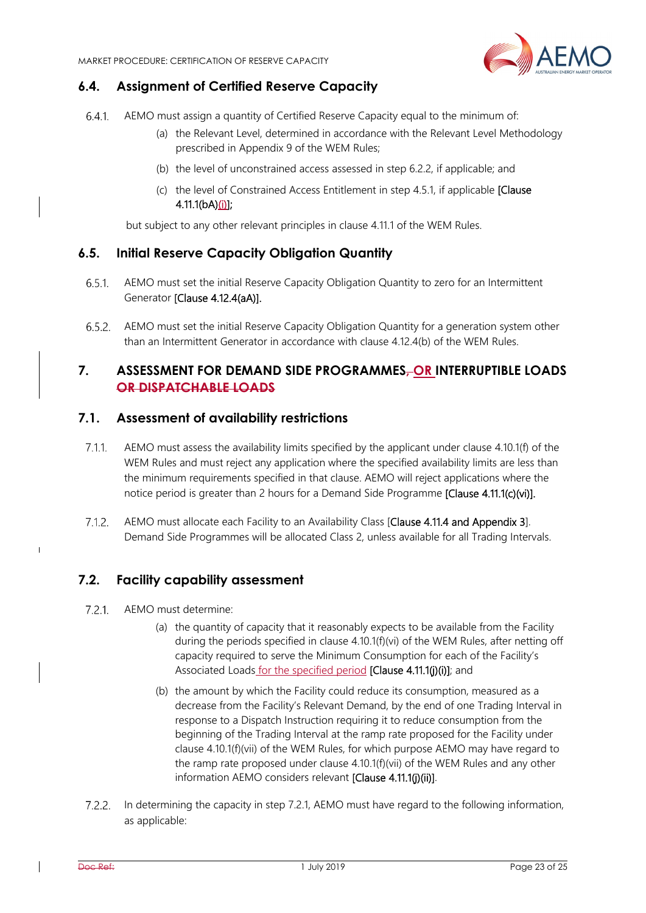

# **6.4. Assignment of Certified Reserve Capacity**

- 641 AEMO must assign a quantity of Certified Reserve Capacity equal to the minimum of:
	- (a) the Relevant Level, determined in accordance with the Relevant Level Methodology prescribed in Appendix 9 of the WEM Rules;
	- (b) the level of unconstrained access assessed in step 6.2.2, if applicable; and
	- (c) the level of Constrained Access Entitlement in step 4.5.1, if applicable [Clause 4.11.1(bA)(i)];

but subject to any other relevant principles in clause 4.11.1 of the WEM Rules.

#### **6.5. Initial Reserve Capacity Obligation Quantity**

- $6.5.1$ AEMO must set the initial Reserve Capacity Obligation Quantity to zero for an Intermittent Generator [Clause 4.12.4(aA)].
- AEMO must set the initial Reserve Capacity Obligation Quantity for a generation system other than an Intermittent Generator in accordance with clause 4.12.4(b) of the WEM Rules.

#### **7. ASSESSMENT FOR DEMAND SIDE PROGRAMMES, OR INTERRUPTIBLE LOADS OR DISPATCHABLE LOADS**

#### **7.1. Assessment of availability restrictions**

- $7.1.1.$ AEMO must assess the availability limits specified by the applicant under clause 4.10.1(f) of the WEM Rules and must reject any application where the specified availability limits are less than the minimum requirements specified in that clause. AEMO will reject applications where the notice period is greater than 2 hours for a Demand Side Programme [Clause 4.11.1(c)(vi)].
- $7.1.2.$ AEMO must allocate each Facility to an Availability Class [Clause 4.11.4 and Appendix 3]. Demand Side Programmes will be allocated Class 2, unless available for all Trading Intervals.

#### **7.2. Facility capability assessment**

- $7.2.1$ AEMO must determine:
	- (a) the quantity of capacity that it reasonably expects to be available from the Facility during the periods specified in clause 4.10.1(f)(vi) of the WEM Rules, after netting off capacity required to serve the Minimum Consumption for each of the Facility's Associated Loads for the specified period [Clause 4.11.1(j)(i)]; and
	- (b) the amount by which the Facility could reduce its consumption, measured as a decrease from the Facility's Relevant Demand, by the end of one Trading Interval in response to a Dispatch Instruction requiring it to reduce consumption from the beginning of the Trading Interval at the ramp rate proposed for the Facility under clause 4.10.1(f)(vii) of the WEM Rules, for which purpose AEMO may have regard to the ramp rate proposed under clause 4.10.1(f)(vii) of the WEM Rules and any other information AEMO considers relevant [Clause 4.11.1(j)(ii)].
- $7.2.2.$ In determining the capacity in step 7.2.1, AEMO must have regard to the following information, as applicable:

 $\overline{\phantom{a}}$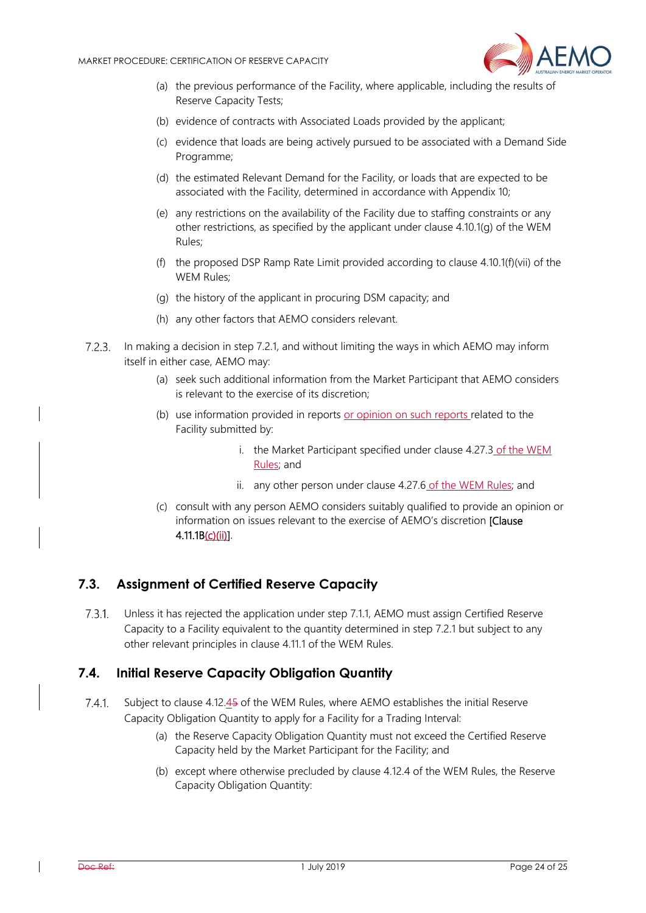

- (a) the previous performance of the Facility, where applicable, including the results of Reserve Capacity Tests;
- (b) evidence of contracts with Associated Loads provided by the applicant;
- (c) evidence that loads are being actively pursued to be associated with a Demand Side Programme;
- (d) the estimated Relevant Demand for the Facility, or loads that are expected to be associated with the Facility, determined in accordance with Appendix 10;
- (e) any restrictions on the availability of the Facility due to staffing constraints or any other restrictions, as specified by the applicant under clause 4.10.1(g) of the WEM Rules;
- (f) the proposed DSP Ramp Rate Limit provided according to clause 4.10.1(f)(vii) of the WEM Rules;
- (g) the history of the applicant in procuring DSM capacity; and
- (h) any other factors that AEMO considers relevant.
- 7.2.3. In making a decision in step 7.2.1, and without limiting the ways in which AEMO may inform itself in either case, AEMO may:
	- (a) seek such additional information from the Market Participant that AEMO considers is relevant to the exercise of its discretion;
	- (b) use information provided in reports or opinion on such reports related to the Facility submitted by:
		- i. the Market Participant specified under clause 4.27.3 of the WEM Rules; and
		- ii. any other person under clause 4.27.6 of the WEM Rules; and
	- (c) consult with any person AEMO considers suitably qualified to provide an opinion or information on issues relevant to the exercise of AEMO's discretion **[Clause**] 4.11.1B(c)(ii)].

# **7.3. Assignment of Certified Reserve Capacity**

Unless it has rejected the application under step 7.1.1, AEMO must assign Certified Reserve  $7.3.1.$ Capacity to a Facility equivalent to the quantity determined in step 7.2.1 but subject to any other relevant principles in clause 4.11.1 of the WEM Rules.

#### **7.4. Initial Reserve Capacity Obligation Quantity**

- $7.4.1.$ Subject to clause 4.12.45 of the WEM Rules, where AEMO establishes the initial Reserve Capacity Obligation Quantity to apply for a Facility for a Trading Interval:
	- (a) the Reserve Capacity Obligation Quantity must not exceed the Certified Reserve Capacity held by the Market Participant for the Facility; and
	- (b) except where otherwise precluded by clause 4.12.4 of the WEM Rules, the Reserve Capacity Obligation Quantity: